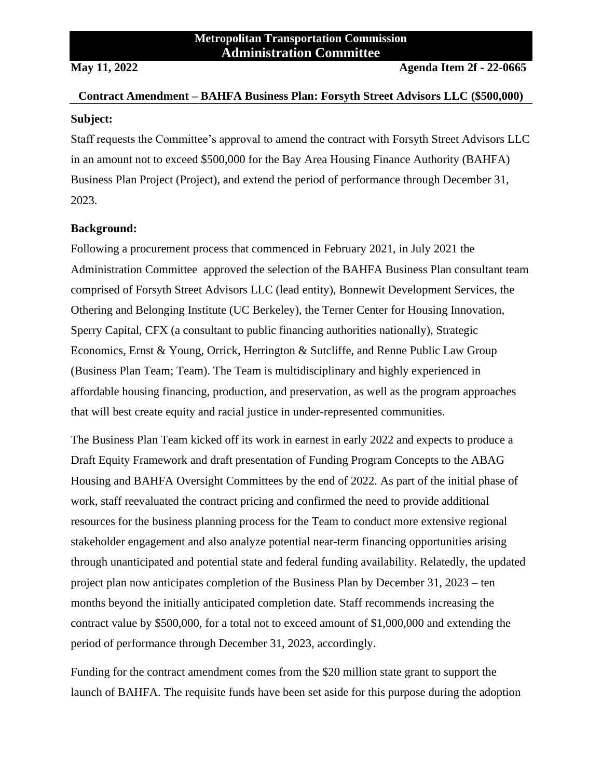# **Contract Amendment – BAHFA Business Plan: Forsyth Street Advisors LLC (\$500,000) Subject:**

Staff requests the Committee's approval to amend the contract with Forsyth Street Advisors LLC in an amount not to exceed \$500,000 for the Bay Area Housing Finance Authority (BAHFA) Business Plan Project (Project), and extend the period of performance through December 31, 2023.

### **Background:**

Following a procurement process that commenced in February 2021, in July 2021 the Administration Committee approved the selection of the BAHFA Business Plan consultant team comprised of Forsyth Street Advisors LLC (lead entity), Bonnewit Development Services, the Othering and Belonging Institute (UC Berkeley), the Terner Center for Housing Innovation, Sperry Capital, CFX (a consultant to public financing authorities nationally), Strategic Economics, Ernst & Young, Orrick, Herrington & Sutcliffe, and Renne Public Law Group (Business Plan Team; Team). The Team is multidisciplinary and highly experienced in affordable housing financing, production, and preservation, as well as the program approaches that will best create equity and racial justice in under-represented communities.

The Business Plan Team kicked off its work in earnest in early 2022 and expects to produce a Draft Equity Framework and draft presentation of Funding Program Concepts to the ABAG Housing and BAHFA Oversight Committees by the end of 2022. As part of the initial phase of work, staff reevaluated the contract pricing and confirmed the need to provide additional resources for the business planning process for the Team to conduct more extensive regional stakeholder engagement and also analyze potential near-term financing opportunities arising through unanticipated and potential state and federal funding availability. Relatedly, the updated project plan now anticipates completion of the Business Plan by December 31, 2023 – ten months beyond the initially anticipated completion date. Staff recommends increasing the contract value by \$500,000, for a total not to exceed amount of \$1,000,000 and extending the period of performance through December 31, 2023, accordingly.

Funding for the contract amendment comes from the \$20 million state grant to support the launch of BAHFA. The requisite funds have been set aside for this purpose during the adoption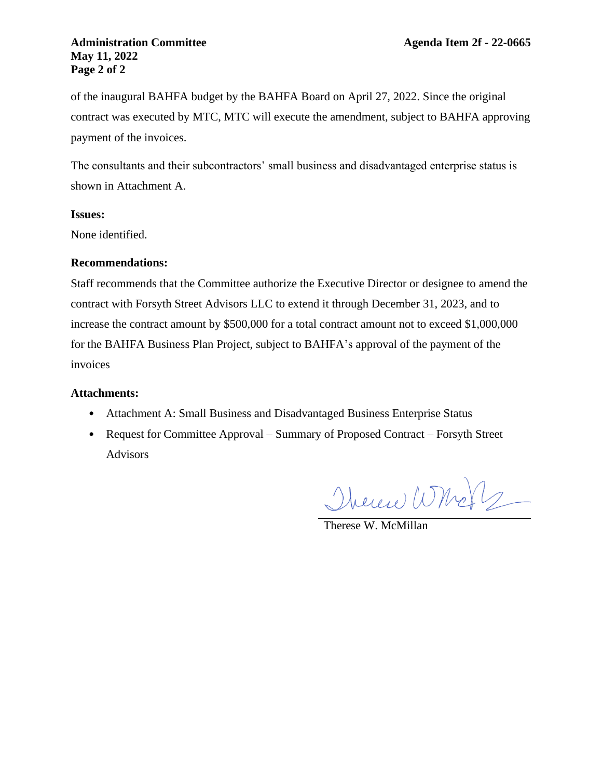#### **Administration Committee Agenda Item 2f - 22-0665 May 11, 2022 Page 2 of 2**

of the inaugural BAHFA budget by the BAHFA Board on April 27, 2022. Since the original contract was executed by MTC, MTC will execute the amendment, subject to BAHFA approving payment of the invoices.

The consultants and their subcontractors' small business and disadvantaged enterprise status is shown in Attachment A.

#### **Issues:**

None identified.

#### **Recommendations:**

Staff recommends that the Committee authorize the Executive Director or designee to amend the contract with Forsyth Street Advisors LLC to extend it through December 31, 2023, and to increase the contract amount by \$500,000 for a total contract amount not to exceed \$1,000,000 for the BAHFA Business Plan Project, subject to BAHFA's approval of the payment of the invoices

#### **Attachments:**

- Attachment A: Small Business and Disadvantaged Business Enterprise Status
- Request for Committee Approval Summary of Proposed Contract Forsyth Street Advisors

Therese Whole

Therese W. McMillan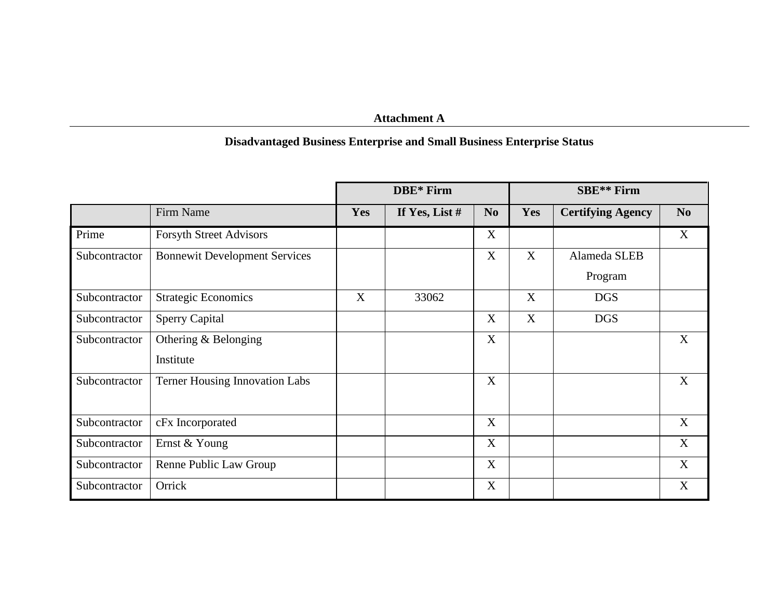## **Attachment A**

## **Disadvantaged Business Enterprise and Small Business Enterprise Status**

|               |                                       | DBE* Firm  |                  |                           | <b>SBE**</b> Firm |                          |                |
|---------------|---------------------------------------|------------|------------------|---------------------------|-------------------|--------------------------|----------------|
|               | Firm Name                             | <b>Yes</b> | If Yes, List $#$ | N <sub>o</sub>            | Yes               | <b>Certifying Agency</b> | N <sub>0</sub> |
| Prime         | <b>Forsyth Street Advisors</b>        |            |                  | $\boldsymbol{\mathrm{X}}$ |                   |                          | $\mathbf X$    |
| Subcontractor | <b>Bonnewit Development Services</b>  |            |                  | X                         | X                 | Alameda SLEB             |                |
|               |                                       |            |                  |                           |                   | Program                  |                |
| Subcontractor | <b>Strategic Economics</b>            | X          | 33062            |                           | X                 | <b>DGS</b>               |                |
| Subcontractor | <b>Sperry Capital</b>                 |            |                  | X                         | X                 | <b>DGS</b>               |                |
| Subcontractor | Othering $&$ Belonging                |            |                  | X                         |                   |                          | X              |
|               | Institute                             |            |                  |                           |                   |                          |                |
| Subcontractor | <b>Terner Housing Innovation Labs</b> |            |                  | X                         |                   |                          | X              |
|               |                                       |            |                  |                           |                   |                          |                |
| Subcontractor | cFx Incorporated                      |            |                  | X                         |                   |                          | X              |
| Subcontractor | Ernst & Young                         |            |                  | X                         |                   |                          | X              |
| Subcontractor | Renne Public Law Group                |            |                  | X                         |                   |                          | X              |
| Subcontractor | Orrick                                |            |                  | X                         |                   |                          | X              |